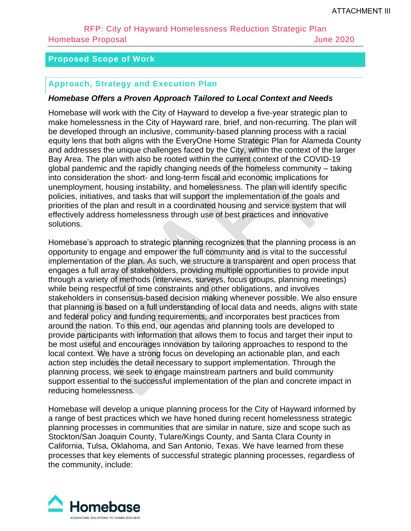#### **Proposed Scope of Work**

#### **Approach, Strategy and Execution Plan**

#### *Homebase Offers a Proven Approach Tailored to Local Context and Needs*

Homebase will work with the City of Hayward to develop a five-year strategic plan to make homelessness in the City of Hayward rare, brief, and non-recurring. The plan will be developed through an inclusive, community-based planning process with a racial equity lens that both aligns with the EveryOne Home Strategic Plan for Alameda County and addresses the unique challenges faced by the City, within the context of the larger Bay Area. The plan with also be rooted within the current context of the COVID-19 global pandemic and the rapidly changing needs of the homeless community – taking into consideration the short- and long-term fiscal and economic implications for unemployment, housing instability, and homelessness. The plan will identify specific policies, initiatives, and tasks that will support the implementation of the goals and priorities of the plan and result in a coordinated housing and service system that will effectively address homelessness through use of best practices and innovative solutions.

Homebase's approach to strategic planning recognizes that the planning process is an opportunity to engage and empower the full community and is vital to the successful implementation of the plan. As such, we structure a transparent and open process that engages a full array of stakeholders, providing multiple opportunities to provide input through a variety of methods (interviews, surveys, focus groups, planning meetings) while being respectful of time constraints and other obligations, and involves stakeholders in consensus-based decision making whenever possible. We also ensure that planning is based on a full understanding of local data and needs, aligns with state and federal policy and funding requirements, and incorporates best practices from around the nation. To this end, our agendas and planning tools are developed to provide participants with information that allows them to focus and target their input to be most useful and encourages innovation by tailoring approaches to respond to the local context. We have a strong focus on developing an actionable plan, and each action step includes the detail necessary to support implementation. Through the planning process, we seek to engage mainstream partners and build community support essential to the successful implementation of the plan and concrete impact in reducing homelessness.

Homebase will develop a unique planning process for the City of Hayward informed by a range of best practices which we have honed during recent homelessness strategic planning processes in communities that are similar in nature, size and scope such as Stockton/San Joaquin County, Tulare/Kings County, and Santa Clara County in California, Tulsa, Oklahoma, and San Antonio, Texas. We have learned from these processes that key elements of successful strategic planning processes, regardless of the community, include:

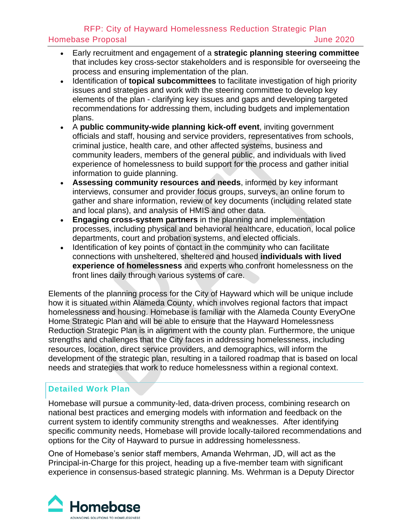- Early recruitment and engagement of a **strategic planning steering committee** that includes key cross-sector stakeholders and is responsible for overseeing the process and ensuring implementation of the plan.
- Identification of **topical subcommittees** to facilitate investigation of high priority issues and strategies and work with the steering committee to develop key elements of the plan - clarifying key issues and gaps and developing targeted recommendations for addressing them, including budgets and implementation plans.
- A **public community-wide planning kick-off event**, inviting government officials and staff, housing and service providers, representatives from schools, criminal justice, health care, and other affected systems, business and community leaders, members of the general public, and individuals with lived experience of homelessness to build support for the process and gather initial information to guide planning.
- **Assessing community resources and needs**, informed by key informant interviews, consumer and provider focus groups, surveys, an online forum to gather and share information, review of key documents (including related state and local plans), and analysis of HMIS and other data.
- **Engaging cross-system partners** in the planning and implementation processes, including physical and behavioral healthcare, education, local police departments, court and probation systems, and elected officials.
- Identification of key points of contact in the community who can facilitate connections with unsheltered, sheltered and housed **individuals with lived experience of homelessness** and experts who confront homelessness on the front lines daily through various systems of care.

Elements of the planning process for the City of Hayward which will be unique include how it is situated within Alameda County, which involves regional factors that impact homelessness and housing. Homebase is familiar with the Alameda County EveryOne Home Strategic Plan and will be able to ensure that the Hayward Homelessness Reduction Strategic Plan is in alignment with the county plan. Furthermore, the unique strengths and challenges that the City faces in addressing homelessness, including resources, location, direct service providers, and demographics, will inform the development of the strategic plan, resulting in a tailored roadmap that is based on local needs and strategies that work to reduce homelessness within a regional context.

## **Detailed Work Plan**

Homebase will pursue a community-led, data-driven process, combining research on national best practices and emerging models with information and feedback on the current system to identify community strengths and weaknesses. After identifying specific community needs, Homebase will provide locally-tailored recommendations and options for the City of Hayward to pursue in addressing homelessness.

One of Homebase's senior staff members, Amanda Wehrman, JD, will act as the Principal-in-Charge for this project, heading up a five-member team with significant experience in consensus-based strategic planning. Ms. Wehrman is a Deputy Director

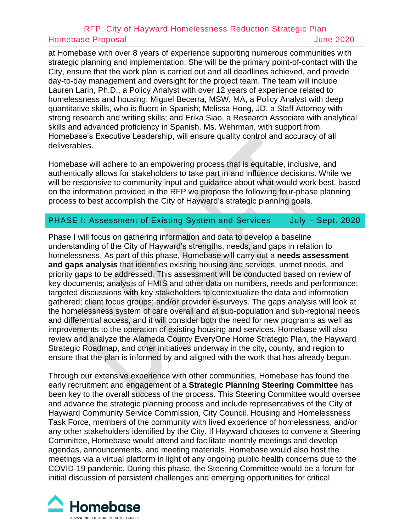at Homebase with over 8 years of experience supporting numerous communities with strategic planning and implementation. She will be the primary point-of-contact with the City, ensure that the work plan is carried out and all deadlines achieved, and provide day-to-day management and oversight for the project team. The team will include Lauren Larin, Ph.D., a Policy Analyst with over 12 years of experience related to homelessness and housing; Miguel Becerra, MSW, MA, a Policy Analyst with deep quantitative skills, who is fluent in Spanish; Melissa Hong, JD, a Staff Attorney with strong research and writing skills; and Erika Siao, a Research Associate with analytical skills and advanced proficiency in Spanish. Ms. Wehrman, with support from Homebase's Executive Leadership, will ensure quality control and accuracy of all deliverables.

Homebase will adhere to an empowering process that is equitable, inclusive, and authentically allows for stakeholders to take part in and influence decisions. While we will be responsive to community input and guidance about what would work best, based on the information provided in the RFP we propose the following four-phase planning process to best accomplish the City of Hayward's strategic planning goals.

#### PHASE I: Assessment of Existing System and Services July - Sept. 2020

Phase I will focus on gathering information and data to develop a baseline understanding of the City of Hayward's strengths, needs, and gaps in relation to homelessness. As part of this phase, Homebase will carry out a **needs assessment and gaps analysis** that identifies existing housing and services, unmet needs, and priority gaps to be addressed. This assessment will be conducted based on review of key documents; analysis of HMIS and other data on numbers, needs and performance; targeted discussions with key stakeholders to contextualize the data and information gathered; client focus groups; and/or provider e-surveys. The gaps analysis will look at the homelessness system of care overall and at sub-population and sub-regional needs and differential access, and it will consider both the need for new programs as well as improvements to the operation of existing housing and services. Homebase will also review and analyze the Alameda County EveryOne Home Strategic Plan, the Hayward Strategic Roadmap, and other initiatives underway in the city, county, and region to ensure that the plan is informed by and aligned with the work that has already begun.

Through our extensive experience with other communities, Homebase has found the early recruitment and engagement of a **Strategic Planning Steering Committee** has been key to the overall success of the process. This Steering Committee would oversee and advance the strategic planning process and include representatives of the City of Hayward Community Service Commission, City Council, Housing and Homelessness Task Force, members of the community with lived experience of homelessness, and/or any other stakeholders identified by the City. If Hayward chooses to convene a Steering Committee, Homebase would attend and facilitate monthly meetings and develop agendas, announcements, and meeting materials. Homebase would also host the meetings via a virtual platform in light of any ongoing public health concerns due to the COVID-19 pandemic. During this phase, the Steering Committee would be a forum for initial discussion of persistent challenges and emerging opportunities for critical

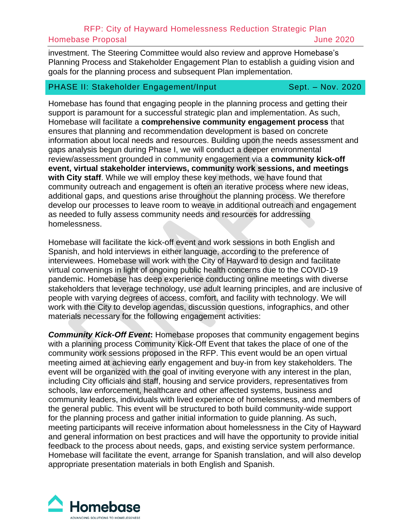investment. The Steering Committee would also review and approve Homebase's Planning Process and Stakeholder Engagement Plan to establish a guiding vision and goals for the planning process and subsequent Plan implementation.

#### PHASE II: Stakeholder Engagement/Input Sept. - Nov. 2020

Homebase has found that engaging people in the planning process and getting their support is paramount for a successful strategic plan and implementation. As such, Homebase will facilitate a **comprehensive community engagement process** that ensures that planning and recommendation development is based on concrete information about local needs and resources. Building upon the needs assessment and gaps analysis begun during Phase I, we will conduct a deeper environmental review/assessment grounded in community engagement via a **community kick-off event, virtual stakeholder interviews, community work sessions, and meetings with City staff**. While we will employ these key methods, we have found that community outreach and engagement is often an iterative process where new ideas, additional gaps, and questions arise throughout the planning process. We therefore develop our processes to leave room to weave in additional outreach and engagement as needed to fully assess community needs and resources for addressing homelessness.

Homebase will facilitate the kick-off event and work sessions in both English and Spanish, and hold interviews in either language, according to the preference of interviewees. Homebase will work with the City of Hayward to design and facilitate virtual convenings in light of ongoing public health concerns due to the COVID-19 pandemic. Homebase has deep experience conducting online meetings with diverse stakeholders that leverage technology, use adult learning principles, and are inclusive of people with varying degrees of access, comfort, and facility with technology. We will work with the City to develop agendas, discussion questions, infographics, and other materials necessary for the following engagement activities:

**Community Kick-Off Event:** Homebase proposes that community engagement begins with a planning process Community Kick-Off Event that takes the place of one of the community work sessions proposed in the RFP. This event would be an open virtual meeting aimed at achieving early engagement and buy-in from key stakeholders. The event will be organized with the goal of inviting everyone with any interest in the plan, including City officials and staff, housing and service providers, representatives from schools, law enforcement, healthcare and other affected systems, business and community leaders, individuals with lived experience of homelessness, and members of the general public. This event will be structured to both build community-wide support for the planning process and gather initial information to guide planning. As such, meeting participants will receive information about homelessness in the City of Hayward and general information on best practices and will have the opportunity to provide initial feedback to the process about needs, gaps, and existing service system performance. Homebase will facilitate the event, arrange for Spanish translation, and will also develop appropriate presentation materials in both English and Spanish.

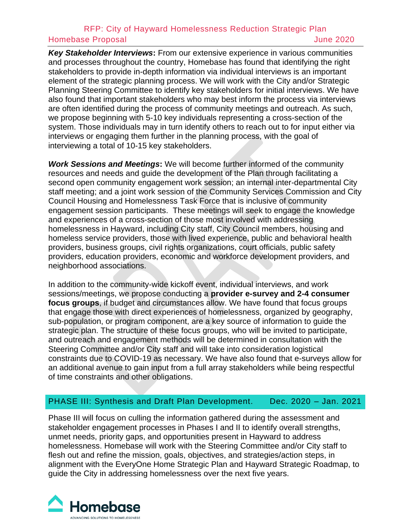*Key Stakeholder Interviews***:** From our extensive experience in various communities and processes throughout the country, Homebase has found that identifying the right stakeholders to provide in-depth information via individual interviews is an important element of the strategic planning process. We will work with the City and/or Strategic Planning Steering Committee to identify key stakeholders for initial interviews. We have also found that important stakeholders who may best inform the process via interviews are often identified during the process of community meetings and outreach. As such, we propose beginning with 5-10 key individuals representing a cross-section of the system. Those individuals may in turn identify others to reach out to for input either via interviews or engaging them further in the planning process, with the goal of interviewing a total of 10-15 key stakeholders.

*Work Sessions and Meetings***:** We will become further informed of the community resources and needs and guide the development of the Plan through facilitating a second open community engagement work session; an internal inter-departmental City staff meeting; and a joint work session of the Community Services Commission and City Council Housing and Homelessness Task Force that is inclusive of community engagement session participants. These meetings will seek to engage the knowledge and experiences of a cross-section of those most involved with addressing homelessness in Hayward, including City staff, City Council members, housing and homeless service providers, those with lived experience, public and behavioral health providers, business groups, civil rights organizations, court officials, public safety providers, education providers, economic and workforce development providers, and neighborhood associations.

In addition to the community-wide kickoff event, individual interviews, and work sessions/meetings, we propose conducting a **provider e-survey and 2-4 consumer focus groups**, if budget and circumstances allow. We have found that focus groups that engage those with direct experiences of homelessness, organized by geography, sub-population, or program component, are a key source of information to guide the strategic plan. The structure of these focus groups, who will be invited to participate, and outreach and engagement methods will be determined in consultation with the Steering Committee and/or City staff and will take into consideration logistical constraints due to COVID-19 as necessary. We have also found that e-surveys allow for an additional avenue to gain input from a full array stakeholders while being respectful of time constraints and other obligations.

## PHASE III: Synthesis and Draft Plan Development. Dec. 2020 – Jan. 2021

Phase III will focus on culling the information gathered during the assessment and stakeholder engagement processes in Phases I and II to identify overall strengths, unmet needs, priority gaps, and opportunities present in Hayward to address homelessness. Homebase will work with the Steering Committee and/or City staff to flesh out and refine the mission, goals, objectives, and strategies/action steps, in alignment with the EveryOne Home Strategic Plan and Hayward Strategic Roadmap, to guide the City in addressing homelessness over the next five years.

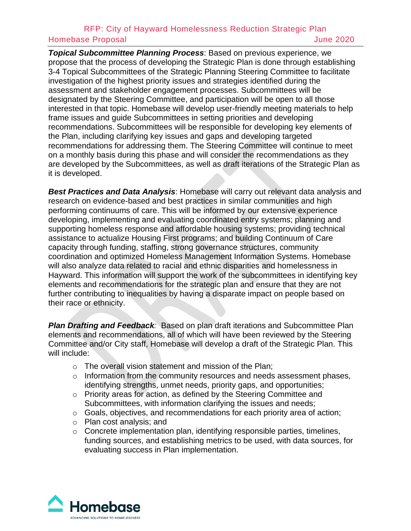*Topical Subcommittee Planning Process*: Based on previous experience, we propose that the process of developing the Strategic Plan is done through establishing 3-4 Topical Subcommittees of the Strategic Planning Steering Committee to facilitate investigation of the highest priority issues and strategies identified during the assessment and stakeholder engagement processes. Subcommittees will be designated by the Steering Committee, and participation will be open to all those interested in that topic. Homebase will develop user-friendly meeting materials to help frame issues and guide Subcommittees in setting priorities and developing recommendations. Subcommittees will be responsible for developing key elements of the Plan, including clarifying key issues and gaps and developing targeted recommendations for addressing them. The Steering Committee will continue to meet on a monthly basis during this phase and will consider the recommendations as they are developed by the Subcommittees, as well as draft iterations of the Strategic Plan as it is developed.

*Best Practices and Data Analysis*: Homebase will carry out relevant data analysis and research on evidence-based and best practices in similar communities and high performing continuums of care. This will be informed by our extensive experience developing, implementing and evaluating coordinated entry systems; planning and supporting homeless response and affordable housing systems; providing technical assistance to actualize Housing First programs; and building Continuum of Care capacity through funding, staffing, strong governance structures, community coordination and optimized Homeless Management Information Systems. Homebase will also analyze data related to racial and ethnic disparities and homelessness in Hayward. This information will support the work of the subcommittees in identifying key elements and recommendations for the strategic plan and ensure that they are not further contributing to inequalities by having a disparate impact on people based on their race or ethnicity.

*Plan Drafting and Feedback:* Based on plan draft iterations and Subcommittee Plan elements and recommendations, all of which will have been reviewed by the Steering Committee and/or City staff, Homebase will develop a draft of the Strategic Plan. This will include:

- o The overall vision statement and mission of the Plan;
- o Information from the community resources and needs assessment phases, identifying strengths, unmet needs, priority gaps, and opportunities;
- o Priority areas for action, as defined by the Steering Committee and Subcommittees, with information clarifying the issues and needs;
- o Goals, objectives, and recommendations for each priority area of action;
- o Plan cost analysis; and
- o Concrete implementation plan, identifying responsible parties, timelines, funding sources, and establishing metrics to be used, with data sources, for evaluating success in Plan implementation.

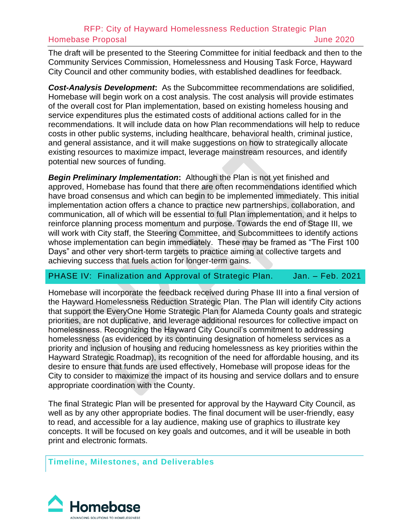The draft will be presented to the Steering Committee for initial feedback and then to the Community Services Commission, Homelessness and Housing Task Force, Hayward City Council and other community bodies, with established deadlines for feedback.

*Cost-Analysis Development***:** As the Subcommittee recommendations are solidified, Homebase will begin work on a cost analysis. The cost analysis will provide estimates of the overall cost for Plan implementation, based on existing homeless housing and service expenditures plus the estimated costs of additional actions called for in the recommendations. It will include data on how Plan recommendations will help to reduce costs in other public systems, including healthcare, behavioral health, criminal justice, and general assistance, and it will make suggestions on how to strategically allocate existing resources to maximize impact, leverage mainstream resources, and identify potential new sources of funding.

*Begin Preliminary Implementation***:** Although the Plan is not yet finished and approved, Homebase has found that there are often recommendations identified which have broad consensus and which can begin to be implemented immediately. This initial implementation action offers a chance to practice new partnerships, collaboration, and communication, all of which will be essential to full Plan implementation, and it helps to reinforce planning process momentum and purpose. Towards the end of Stage III, we will work with City staff, the Steering Committee, and Subcommittees to identify actions whose implementation can begin immediately. These may be framed as "The First 100 Days" and other very short-term targets to practice aiming at collective targets and achieving success that fuels action for longer-term gains.

## PHASE IV: Finalization and Approval of Strategic Plan. Jan. - Feb. 2021

Homebase will incorporate the feedback received during Phase III into a final version of the Hayward Homelessness Reduction Strategic Plan. The Plan will identify City actions that support the EveryOne Home Strategic Plan for Alameda County goals and strategic priorities, are not duplicative, and leverage additional resources for collective impact on homelessness. Recognizing the Hayward City Council's commitment to addressing homelessness (as evidenced by its continuing designation of homeless services as a priority and inclusion of housing and reducing homelessness as key priorities within the Hayward Strategic Roadmap), its recognition of the need for affordable housing, and its desire to ensure that funds are used effectively, Homebase will propose ideas for the City to consider to maximize the impact of its housing and service dollars and to ensure appropriate coordination with the County.

The final Strategic Plan will be presented for approval by the Hayward City Council, as well as by any other appropriate bodies. The final document will be user-friendly, easy to read, and accessible for a lay audience, making use of graphics to illustrate key concepts. It will be focused on key goals and outcomes, and it will be useable in both print and electronic formats.

**Timeline, Milestones, and Deliverables**

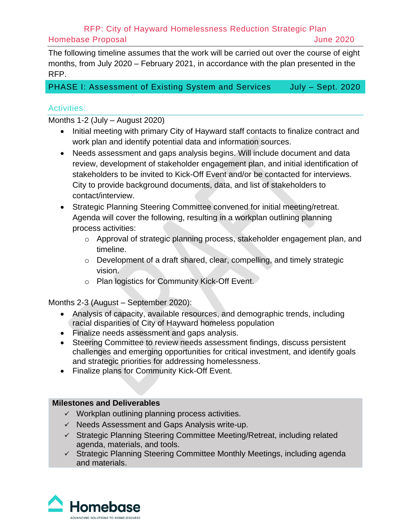The following timeline assumes that the work will be carried out over the course of eight months, from July 2020 – February 2021, in accordance with the plan presented in the RFP.

PHASE I: Assessment of Existing System and Services July - Sept. 2020

#### Activities:

Months 1-2 (July – August 2020)

- Initial meeting with primary City of Hayward staff contacts to finalize contract and work plan and identify potential data and information sources.
- Needs assessment and gaps analysis begins. Will include document and data review, development of stakeholder engagement plan, and initial identification of stakeholders to be invited to Kick-Off Event and/or be contacted for interviews. City to provide background documents, data, and list of stakeholders to contact/interview.
- Strategic Planning Steering Committee convened for initial meeting/retreat. Agenda will cover the following, resulting in a workplan outlining planning process activities:
	- o Approval of strategic planning process, stakeholder engagement plan, and timeline.
	- o Development of a draft shared, clear, compelling, and timely strategic vision.
	- o Plan logistics for Community Kick-Off Event.

Months 2-3 (August – September 2020):

- Analysis of capacity, available resources, and demographic trends, including racial disparities of City of Hayward homeless population
- Finalize needs assessment and gaps analysis.
- Steering Committee to review needs assessment findings, discuss persistent challenges and emerging opportunities for critical investment, and identify goals and strategic priorities for addressing homelessness.
- Finalize plans for Community Kick-Off Event.

#### **Milestones and Deliverables**

- $\checkmark$  Workplan outlining planning process activities.
- ✓ Needs Assessment and Gaps Analysis write-up.
- ✓ Strategic Planning Steering Committee Meeting/Retreat, including related agenda, materials, and tools.
- ✓ Strategic Planning Steering Committee Monthly Meetings, including agenda and materials.

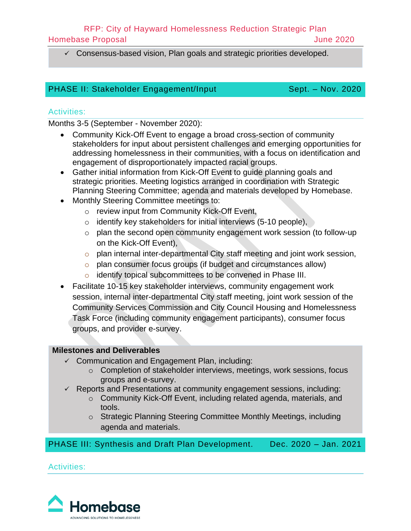## RFP: City of Hayward Homelessness Reduction Strategic Plan

Homebase Proposal June 2020

✓ Consensus-based vision, Plan goals and strategic priorities developed.

# PHASE II: Stakeholder Engagement/Input Sept. - Nov. 2020

## Activities:

Months 3-5 (September - November 2020):

- Community Kick-Off Event to engage a broad cross-section of community stakeholders for input about persistent challenges and emerging opportunities for addressing homelessness in their communities, with a focus on identification and engagement of disproportionately impacted racial groups.
- Gather initial information from Kick-Off Event to guide planning goals and strategic priorities. Meeting logistics arranged in coordination with Strategic Planning Steering Committee; agenda and materials developed by Homebase.
- Monthly Steering Committee meetings to:
	- o review input from Community Kick-Off Event,
	- $\circ$  identify key stakeholders for initial interviews (5-10 people),
	- o plan the second open community engagement work session (to follow-up on the Kick-Off Event),
	- o plan internal inter-departmental City staff meeting and joint work session,
	- o plan consumer focus groups (if budget and circumstances allow)
	- o identify topical subcommittees to be convened in Phase III.
- Facilitate 10-15 key stakeholder interviews, community engagement work session, internal inter-departmental City staff meeting, joint work session of the Community Services Commission and City Council Housing and Homelessness Task Force (including community engagement participants), consumer focus groups, and provider e-survey.

# **Milestones and Deliverables**

- ✓ Communication and Engagement Plan, including:
	- o Completion of stakeholder interviews, meetings, work sessions, focus groups and e-survey.
- ✓ Reports and Presentations at community engagement sessions, including:
	- o Community Kick-Off Event, including related agenda, materials, and tools.
	- o Strategic Planning Steering Committee Monthly Meetings, including agenda and materials.

PHASE III: Synthesis and Draft Plan Development. Dec. 2020 – Jan. 2021

Activities:

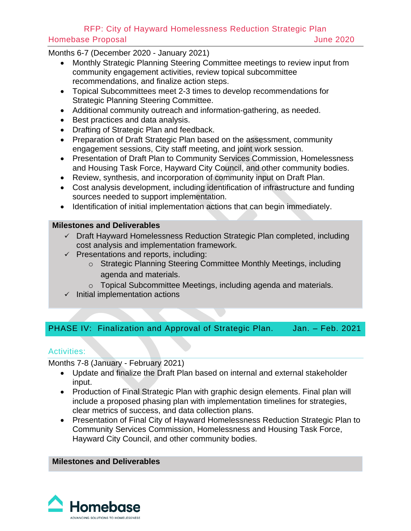Months 6-7 (December 2020 - January 2021)

- Monthly Strategic Planning Steering Committee meetings to review input from community engagement activities, review topical subcommittee recommendations, and finalize action steps.
- Topical Subcommittees meet 2-3 times to develop recommendations for Strategic Planning Steering Committee.
- Additional community outreach and information-gathering, as needed.
- Best practices and data analysis.
- Drafting of Strategic Plan and feedback.
- Preparation of Draft Strategic Plan based on the assessment, community engagement sessions, City staff meeting, and joint work session.
- Presentation of Draft Plan to Community Services Commission, Homelessness and Housing Task Force, Hayward City Council, and other community bodies.
- Review, synthesis, and incorporation of community input on Draft Plan.
- Cost analysis development, including identification of infrastructure and funding sources needed to support implementation.
- Identification of initial implementation actions that can begin immediately.

#### **Milestones and Deliverables**

- ✓ Draft Hayward Homelessness Reduction Strategic Plan completed, including cost analysis and implementation framework.
- $\checkmark$  Presentations and reports, including:
	- o Strategic Planning Steering Committee Monthly Meetings, including agenda and materials.
	- o Topical Subcommittee Meetings, including agenda and materials.
- $\checkmark$  Initial implementation actions

# PHASE IV: Finalization and Approval of Strategic Plan. Jan. - Feb. 2021

## Activities:

Months 7-8 (January - February 2021)

- Update and finalize the Draft Plan based on internal and external stakeholder input.
- Production of Final Strategic Plan with graphic design elements. Final plan will include a proposed phasing plan with implementation timelines for strategies, clear metrics of success, and data collection plans.
- Presentation of Final City of Hayward Homelessness Reduction Strategic Plan to Community Services Commission, Homelessness and Housing Task Force, Hayward City Council, and other community bodies.

#### **Milestones and Deliverables**